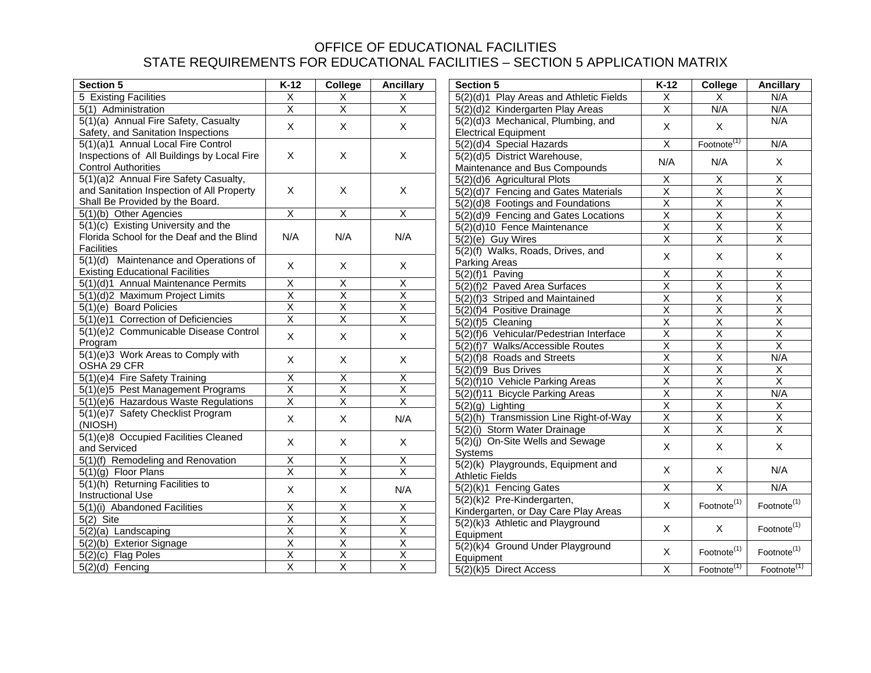| <b>Section 5</b>                           | $K-12$                  | College                   | <b>Ancillary</b>        | <b>Section 5</b>                                            | $K-12$                  | College                   | <b>Ancillary</b>        |
|--------------------------------------------|-------------------------|---------------------------|-------------------------|-------------------------------------------------------------|-------------------------|---------------------------|-------------------------|
| <b>5 Existing Facilities</b>               | $\overline{\mathsf{x}}$ | X                         | Χ                       | 5(2)(d)1 Play Areas and Athletic Fields                     |                         | X                         | N/A                     |
| 5(1) Administration                        | $\overline{\mathsf{X}}$ | $\overline{\mathsf{x}}$   |                         | $\overline{\mathsf{X}}$<br>5(2)(d)2 Kindergarten Play Areas |                         | N/A                       | N/A                     |
| 5(1)(a) Annual Fire Safety, Casualty       | $\mathsf X$             | X                         | $\mathsf X$             | 5(2)(d)3 Mechanical, Plumbing, and                          | $\mathsf X$             | X                         | N/A                     |
| Safety, and Sanitation Inspections         |                         |                           |                         | <b>Electrical Equipment</b>                                 |                         |                           |                         |
| 5(1)(a)1 Annual Local Fire Control         |                         |                           |                         | 5(2)(d)4 Special Hazards                                    | $\overline{\mathsf{X}}$ | Footnote <sup>(1)</sup>   | N/A                     |
| Inspections of All Buildings by Local Fire | X                       | $\boldsymbol{\mathsf{X}}$ | $\mathsf{X}$            | 5(2)(d)5 District Warehouse,                                | N/A                     | N/A                       | $\mathsf{X}$            |
| <b>Control Authorities</b>                 |                         |                           |                         | Maintenance and Bus Compounds                               |                         |                           |                         |
| 5(1)(a)2 Annual Fire Safety Casualty,      |                         |                           |                         | 5(2)(d)6 Agricultural Plots                                 | X                       | X                         | $\overline{X}$          |
| and Sanitation Inspection of All Property  | $\mathsf{X}$            | $\mathsf{X}$              | $\mathsf{X}$            | 5(2)(d)7 Fencing and Gates Materials                        | $\overline{\mathsf{X}}$ | $\overline{\mathsf{x}}$   | $\overline{\mathsf{x}}$ |
| Shall Be Provided by the Board.            |                         |                           |                         | 5(2)(d)8 Footings and Foundations                           | $\overline{\mathsf{X}}$ | $\overline{X}$            | $\overline{\mathsf{x}}$ |
| 5(1)(b) Other Agencies                     | $\overline{X}$          | $\overline{X}$            | $\overline{X}$          | 5(2)(d)9 Fencing and Gates Locations                        | $\overline{X}$          | X                         | $\overline{X}$          |
| $5(1)(c)$ Existing University and the      |                         |                           |                         | 5(2)(d)10 Fence Maintenance                                 | $\overline{X}$          | $\overline{X}$            | $\overline{\mathsf{x}}$ |
| Florida School for the Deaf and the Blind  | N/A                     | N/A                       | N/A                     | 5(2)(e) Guy Wires                                           | $\overline{\mathsf{X}}$ | $\overline{X}$            | $\overline{\mathsf{x}}$ |
| <b>Facilities</b>                          |                         |                           |                         | 5(2)(f) Walks, Roads, Drives, and                           | $\mathsf{X}$            |                           | X                       |
| 5(1)(d) Maintenance and Operations of      | $\mathsf{X}$            | $\boldsymbol{\mathsf{X}}$ | $\mathsf{X}$            | Parking Areas                                               |                         | X                         |                         |
| <b>Existing Educational Facilities</b>     |                         |                           |                         | $5(2)(f)1$ Paving                                           | $\overline{X}$          | X                         | X                       |
| 5(1)(d)1 Annual Maintenance Permits        | $\overline{\mathsf{x}}$ | $\overline{X}$            | $\overline{\mathsf{x}}$ | 5(2)(f)2 Paved Area Surfaces                                | $\overline{\mathsf{x}}$ | $\overline{\mathsf{x}}$   | $\overline{\mathsf{x}}$ |
| 5(1)(d)2 Maximum Project Limits            | $\overline{\mathsf{X}}$ | $\overline{X}$            | $\overline{\mathsf{x}}$ | 5(2)(f)3 Striped and Maintained                             | $\overline{\mathsf{X}}$ | $\overline{X}$            | $\overline{\mathsf{x}}$ |
| 5(1)(e) Board Policies                     | $\overline{\mathsf{X}}$ | $\overline{X}$            | $\overline{\mathsf{x}}$ | 5(2)(f)4 Positive Drainage                                  | $\overline{\mathsf{x}}$ | $\overline{\mathsf{x}}$   | $\overline{\mathsf{x}}$ |
| 5(1)(e)1 Correction of Deficiencies        | $\overline{\mathsf{X}}$ | $\overline{\mathsf{X}}$   | $\overline{\mathsf{x}}$ | 5(2)(f)5 Cleaning                                           |                         | $\overline{\mathsf{x}}$   | $\overline{\mathsf{x}}$ |
| 5(1)(e)2 Communicable Disease Control      | $\mathsf X$             | X                         | X                       | 5(2)(f)6 Vehicular/Pedestrian Interface                     | $\overline{\mathsf{X}}$ | $\overline{X}$            | $\overline{\mathsf{x}}$ |
| Program                                    |                         |                           |                         | 5(2)(f)7 Walks/Accessible Routes                            | $\overline{X}$          | $\overline{X}$            | $\overline{\mathsf{x}}$ |
| 5(1)(e)3 Work Areas to Comply with         | X                       | X                         | X                       | 5(2)(f)8 Roads and Streets                                  | $\overline{\mathsf{x}}$ | $\overline{X}$            | N/A                     |
| OSHA 29 CFR                                |                         |                           |                         | 5(2)(f)9 Bus Drives                                         | $\overline{X}$          | $\overline{X}$            | $\overline{X}$          |
| 5(1)(e)4 Fire Safety Training              | $\overline{\mathsf{x}}$ | $\overline{X}$            | $\overline{\mathsf{x}}$ | 5(2)(f)10 Vehicle Parking Areas                             | $\overline{\mathsf{X}}$ | $\overline{\mathsf{x}}$   | $\overline{\mathsf{X}}$ |
| 5(1)(e)5 Pest Management Programs          | $\overline{\mathsf{x}}$ | $\overline{\mathsf{X}}$   | Χ                       | 5(2)(f)11 Bicycle Parking Areas                             | $\overline{\mathsf{X}}$ | $\overline{X}$            | N/A                     |
| 5(1)(e)6 Hazardous Waste Regulations       | $\overline{\mathsf{X}}$ | $\overline{X}$            | $\overline{X}$          | $5(2)(g)$ Lighting                                          | $\overline{\mathsf{X}}$ | $\overline{X}$            | $\overline{X}$          |
| 5(1)(e)7 Safety Checklist Program          | $\mathsf{X}$            | $\mathsf{X}$              | N/A                     | 5(2)(h) Transmission Line Right-of-Way                      | $\overline{X}$          | $\overline{\mathsf{X}}$   | $\overline{\mathsf{x}}$ |
| (NIOSH)                                    |                         |                           |                         | 5(2)(i) Storm Water Drainage                                | $\overline{\mathsf{x}}$ | $\overline{\mathsf{x}}$   | $\overline{\mathsf{x}}$ |
| 5(1)(e)8 Occupied Facilities Cleaned       | $\mathsf{X}$            | $\mathsf{X}$              | $\mathsf{X}$            | 5(2)(j) On-Site Wells and Sewage                            |                         |                           |                         |
| and Serviced                               |                         |                           |                         | Systems                                                     | $\mathsf{X}$            | $\mathsf{X}$              | $\mathsf{X}$            |
| 5(1)(f) Remodeling and Renovation          | $\overline{X}$          | X                         | X                       | 5(2)(k) Playgrounds, Equipment and                          |                         |                           |                         |
| $5(1)(g)$ Floor Plans                      | Χ                       | Χ                         | $\overline{\mathsf{x}}$ | <b>Athletic Fields</b>                                      | $\mathsf{X}$            | $\boldsymbol{\mathsf{X}}$ | N/A                     |
| 5(1)(h) Returning Facilities to            | $\mathsf{X}$            | $\mathsf{X}$              | N/A                     | 5(2)(k)1 Fencing Gates                                      | $\overline{X}$          | $\overline{\mathsf{X}}$   | N/A                     |
| <b>Instructional Use</b>                   |                         |                           |                         | 5(2)(k)2 Pre-Kindergarten,                                  |                         |                           |                         |
| 5(1)(i) Abandoned Facilities               | $\overline{X}$          | $\overline{X}$            | $\overline{X}$          | Kindergarten, or Day Care Play Areas                        | $\mathsf{X}$            | Footnote <sup>(1)</sup>   | Footnote <sup>(1)</sup> |
| $5(2)$ Site                                | $\overline{X}$          | $\overline{X}$            | $\overline{X}$          | 5(2)(k)3 Athletic and Playground                            |                         |                           |                         |
| 5(2)(a) Landscaping                        | $\overline{\mathsf{x}}$ | $\overline{\mathsf{X}}$   | $\overline{\mathsf{x}}$ | Equipment                                                   | $\mathsf{X}$            | $\boldsymbol{\mathsf{X}}$ | Footnote <sup>(1)</sup> |
| 5(2)(b) Exterior Signage                   | $\overline{\mathsf{x}}$ | $\overline{\mathsf{x}}$   | $\overline{\mathsf{x}}$ | 5(2)(k)4 Ground Under Playground                            |                         |                           |                         |
| 5(2)(c) Flag Poles                         | $\overline{\mathsf{x}}$ | $\overline{\mathsf{x}}$   | $\overline{\mathsf{x}}$ | Equipment                                                   | $\mathsf{X}$            | Footnote <sup>(1)</sup>   | Footnote <sup>(1)</sup> |
| 5(2)(d) Fencing                            | $\overline{\mathsf{X}}$ | $\overline{\mathsf{x}}$   | $\overline{\mathsf{x}}$ | $5(2)(k)5$ Direct Access                                    | $\overline{X}$          | Footnote <sup>(1)</sup>   | Footnote <sup>(1)</sup> |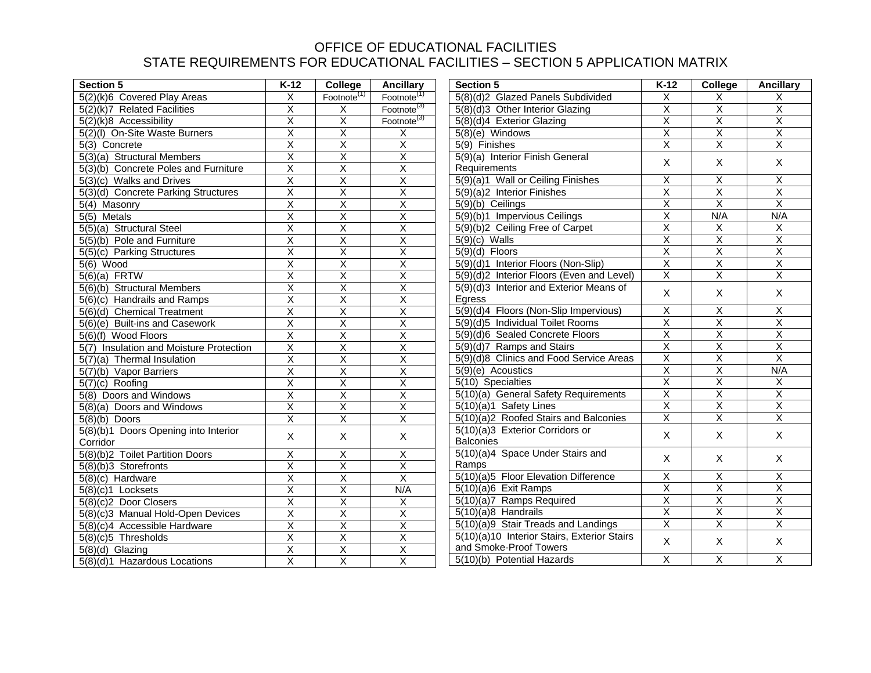| <b>Section 5</b>                        | $K-12$                  | College                 | <b>Ancillary</b><br><b>Section 5</b> |                                                              | $K-12$                                             | College                 | <b>Ancillary</b>        |
|-----------------------------------------|-------------------------|-------------------------|--------------------------------------|--------------------------------------------------------------|----------------------------------------------------|-------------------------|-------------------------|
| 5(2)(k)6 Covered Play Areas             | $\overline{\mathsf{x}}$ | Footnote <sup>(1)</sup> |                                      | Footnote <sup>(1)</sup><br>5(8)(d)2 Glazed Panels Subdivided |                                                    | X                       | $\overline{\mathsf{x}}$ |
| 5(2)(k)7 Related Facilities             | $\overline{\mathsf{X}}$ | X                       | Footnote <sup>(3)</sup>              | 5(8)(d)3 Other Interior Glazing                              | $\overline{X}$                                     | $\overline{X}$          | $\overline{\mathsf{x}}$ |
| $5(2)(k)8$ Accessibility                | $\overline{\mathsf{x}}$ | $\overline{\mathsf{x}}$ | Footnote <sup>(3)</sup>              | 5(8)(d)4 Exterior Glazing                                    | $\overline{\mathsf{x}}$                            | $\overline{\mathsf{X}}$ | $\overline{X}$          |
| 5(2)(I) On-Site Waste Burners           | $\overline{\mathsf{x}}$ | $\overline{X}$          | $\mathsf X$                          | $5(8)(e)$ Windows                                            | $\overline{\mathsf{x}}$                            | $\overline{\mathsf{X}}$ | $\overline{\mathsf{x}}$ |
| 5(3) Concrete                           | $\overline{\mathsf{x}}$ | $\overline{X}$          | $\overline{\mathsf{x}}$              | 5(9) Finishes                                                | $\overline{\mathsf{x}}$                            | $\overline{\mathsf{x}}$ | $\overline{X}$          |
| 5(3)(a) Structural Members              | $\overline{\mathsf{x}}$ | $\overline{\mathsf{x}}$ | $\overline{\mathsf{x}}$              | 5(9)(a) Interior Finish General                              | X                                                  | $\mathsf{X}$            | $\mathsf{X}$            |
| 5(3)(b) Concrete Poles and Furniture    | $\overline{\mathsf{x}}$ | $\overline{\mathsf{x}}$ | $\overline{\mathsf{x}}$              | Requirements                                                 |                                                    |                         |                         |
| 5(3)(c) Walks and Drives                | $\overline{X}$          | X                       | X                                    | 5(9)(a)1 Wall or Ceiling Finishes                            | X                                                  | X                       | X                       |
| 5(3)(d) Concrete Parking Structures     | $\overline{\mathsf{x}}$ | $\overline{\mathsf{x}}$ | $\overline{\mathsf{x}}$              | 5(9)(a)2 Interior Finishes                                   | $\overline{\mathsf{X}}$                            | X                       | $\overline{\mathsf{x}}$ |
| 5(4) Masonry                            | $\overline{\mathsf{X}}$ | $\overline{\mathsf{X}}$ | $\overline{\mathsf{X}}$              | 5(9)(b) Ceilings                                             | $\overline{\mathsf{X}}$                            | $\overline{\mathsf{X}}$ | $\overline{X}$          |
| $5(5)$ Metals                           | $\overline{\mathsf{x}}$ | $\overline{\mathsf{X}}$ | $\overline{\mathsf{x}}$              | 5(9)(b)1 Impervious Ceilings                                 | $\overline{\mathsf{x}}$                            | N/A                     | N/A                     |
| 5(5)(a) Structural Steel                | $\overline{\mathsf{x}}$ | $\overline{\mathsf{x}}$ | $\overline{\mathsf{x}}$              | 5(9)(b)2 Ceiling Free of Carpet                              | $\overline{\mathsf{x}}$                            | $\overline{X}$          | $\overline{X}$          |
| 5(5)(b) Pole and Furniture              | $\overline{\mathsf{x}}$ | $\overline{\mathsf{x}}$ | $\overline{\mathsf{x}}$              | $5(9)(c)$ Walls                                              | $\overline{\mathsf{x}}$                            | $\overline{\mathsf{x}}$ | $\overline{X}$          |
| 5(5)(c) Parking Structures              | $\overline{\mathsf{X}}$ | $\overline{\mathsf{X}}$ | $\overline{\mathsf{X}}$              | $5(9)(d)$ Floors                                             | $\overline{\mathsf{x}}$                            | $\overline{\mathsf{X}}$ | $\overline{\mathsf{x}}$ |
| $5(6)$ Wood                             | $\overline{\mathsf{X}}$ | $\overline{\mathsf{x}}$ | $\overline{\mathsf{x}}$              | 5(9)(d)1 Interior Floors (Non-Slip)                          | $\overline{X}$                                     | $\overline{X}$          | $\overline{X}$          |
| $5(6)(a)$ FRTW                          | $\overline{\mathsf{X}}$ | $\overline{\mathsf{x}}$ | $\overline{\mathsf{x}}$              | 5(9)(d)2 Interior Floors (Even and Level)                    | $\overline{\mathsf{x}}$                            | $\overline{\mathsf{x}}$ | $\overline{\mathsf{x}}$ |
| 5(6)(b) Structural Members              | $\overline{\mathsf{x}}$ | $\overline{\mathsf{X}}$ | $\overline{\mathsf{x}}$              | 5(9)(d)3 Interior and Exterior Means of                      | X                                                  | $\mathsf{X}$            | $\mathsf{X}$            |
| 5(6)(c) Handrails and Ramps             | $\overline{\mathsf{x}}$ | $\overline{\mathsf{x}}$ | $\overline{\mathsf{x}}$              | Egress                                                       |                                                    |                         |                         |
| 5(6)(d) Chemical Treatment              | $\overline{\mathsf{X}}$ | $\overline{\mathsf{x}}$ | $\overline{\mathsf{x}}$              | 5(9)(d)4 Floors (Non-Slip Impervious)                        | X<br>$\overline{X}$                                | $\overline{X}$          | X                       |
| 5(6)(e) Built-ins and Casework          | $\overline{\mathsf{X}}$ | $\overline{X}$          | $\overline{X}$                       | 5(9)(d)5 Individual Toilet Rooms                             |                                                    | $\overline{X}$          | $\overline{\mathsf{x}}$ |
| $5(6)(\overline{f})$ Wood Floors        | $\overline{X}$          | $\overline{\mathsf{X}}$ | $\overline{X}$                       | 5(9)(d)6 Sealed Concrete Floors                              |                                                    | $\overline{\mathsf{X}}$ | $\overline{\mathsf{x}}$ |
| 5(7) Insulation and Moisture Protection | $\overline{\mathsf{x}}$ | $\overline{\mathsf{x}}$ | $\overline{\mathsf{x}}$              | 5(9)(d)7 Ramps and Stairs                                    | $\overline{\mathsf{x}}$<br>$\overline{\mathsf{x}}$ | $\overline{\mathsf{X}}$ | $\overline{X}$          |
| 5(7)(a) Thermal Insulation              | $\overline{\mathsf{X}}$ | $\overline{\mathsf{X}}$ | $\overline{\mathsf{x}}$              | 5(9)(d)8 Clinics and Food Service Areas                      |                                                    | $\overline{\mathsf{X}}$ | $\overline{X}$          |
| 5(7)(b) Vapor Barriers                  | $\overline{\mathsf{x}}$ | $\overline{\mathsf{x}}$ | $\overline{\mathsf{x}}$              | 5(9)(e) Acoustics                                            | $\overline{\mathsf{x}}$                            | $\overline{\mathsf{x}}$ | N/A                     |
| $5(7)(c)$ Roofing                       | $\overline{\mathsf{x}}$ | $\overline{\mathsf{x}}$ | $\overline{\mathsf{x}}$              | 5(10) Specialties                                            | $\overline{\mathsf{X}}$                            | $\overline{X}$          | X                       |
| 5(8) Doors and Windows                  | $\overline{X}$          | $\overline{X}$          | $\overline{X}$                       | 5(10)(a) General Safety Requirements                         | $\overline{X}$                                     | $\overline{X}$          | $\overline{X}$          |
| 5(8)(a) Doors and Windows               | $\overline{X}$          | $\overline{X}$          | $\overline{X}$                       | 5(10)(a)1 Safety Lines                                       | $\overline{\mathsf{X}}$                            | $\overline{X}$          | $\overline{\mathsf{x}}$ |
| $5(8)(b)$ Doors                         | $\overline{\mathsf{x}}$ | $\overline{\mathsf{x}}$ | $\overline{\mathsf{x}}$              | 5(10)(a)2 Roofed Stairs and Balconies                        | $\overline{\mathsf{x}}$                            | $\overline{\mathsf{x}}$ | $\overline{X}$          |
| 5(8)(b)1 Doors Opening into Interior    | X                       | X                       | $\mathsf{X}$                         | 5(10)(a)3 Exterior Corridors or                              | X                                                  | $\sf X$                 | $\sf X$                 |
| Corridor                                |                         |                         |                                      | <b>Balconies</b>                                             |                                                    |                         |                         |
| 5(8)(b)2 Toilet Partition Doors         | $\overline{X}$          | X                       | X                                    | 5(10)(a)4 Space Under Stairs and                             | X                                                  | $\mathsf{X}$            | $\mathsf{X}$            |
| 5(8)(b)3 Storefronts                    | $\overline{\mathsf{x}}$ | $\overline{\mathsf{x}}$ | $\overline{\mathsf{x}}$              | Ramps                                                        |                                                    |                         |                         |
| 5(8)(c) Hardware                        | $\overline{\mathsf{x}}$ | $\overline{\mathsf{x}}$ | $\overline{X}$                       | 5(10)(a)5 Floor Elevation Difference                         | $\overline{X}$<br>$\overline{\mathsf{x}}$          | $\overline{X}$          | $\overline{\mathsf{x}}$ |
| $5(8)(c)1$ Locksets                     | $\overline{X}$          | $\overline{X}$          | N/A                                  | $5(10)(a)6$ Exit Ramps                                       |                                                    | $\overline{\mathsf{x}}$ | $\overline{\mathsf{x}}$ |
| 5(8)(c)2 Door Closers                   | $\overline{\mathsf{x}}$ | $\overline{\mathsf{x}}$ | $\overline{\mathsf{x}}$              | 5(10)(a)7 Ramps Required                                     |                                                    | $\overline{X}$          | $\overline{\mathsf{x}}$ |
| 5(8)(c)3 Manual Hold-Open Devices       | $\overline{\mathsf{x}}$ | $\overline{\mathsf{x}}$ | $\overline{\mathsf{x}}$              | $5(10)(a)8$ Handrails                                        | $\overline{X}$                                     | $\overline{X}$          | $\overline{\mathsf{x}}$ |
| 5(8)(c)4 Accessible Hardware            | $\overline{X}$          | $\overline{X}$          | $\overline{X}$                       | 5(10)(a)9 Stair Treads and Landings                          | $\overline{X}$                                     | $\overline{X}$          | $\overline{\mathsf{x}}$ |
| $5(8)(c)5$ Thresholds                   | $\overline{\mathsf{X}}$ | $\overline{\mathsf{X}}$ | $\overline{X}$                       | 5(10)(a)10 Interior Stairs, Exterior Stairs                  | X                                                  | $\mathsf{X}$            | X                       |
| $5(8)(d)$ Glazing                       | $\overline{X}$          | $\overline{\mathsf{X}}$ | $\overline{\mathsf{x}}$              | and Smoke-Proof Towers                                       |                                                    |                         |                         |
| 5(8)(d)1 Hazardous Locations            | $\overline{\mathsf{x}}$ | $\overline{X}$          | $\overline{X}$                       | 5(10)(b) Potential Hazards                                   | $\overline{\mathsf{X}}$                            | $\overline{X}$          | $\overline{X}$          |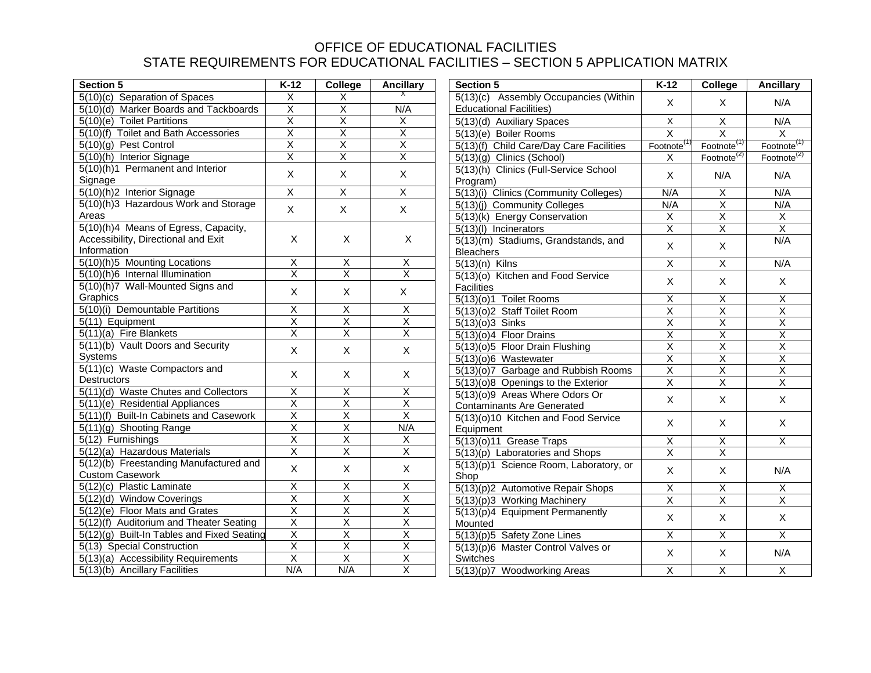| <b>Section 5</b>                           | $K-12$                  | College                   | <b>Ancillary</b>                      | <b>Section 5</b>                        | $K-12$                       | College                   | <b>Ancillary</b>                     |
|--------------------------------------------|-------------------------|---------------------------|---------------------------------------|-----------------------------------------|------------------------------|---------------------------|--------------------------------------|
| 5(10)(c) Separation of Spaces              | X                       | X                         |                                       | 5(13)(c) Assembly Occupancies (Within   |                              | X                         | N/A                                  |
| 5(10)(d) Marker Boards and Tackboards      | $\overline{\mathsf{X}}$ | $\overline{X}$            | <b>Educational Facilities)</b><br>N/A |                                         | X                            |                           |                                      |
| 5(10)(e) Toilet Partitions                 | $\overline{X}$          | $\overline{X}$            | X                                     | 5(13)(d) Auxiliary Spaces               | $\mathsf X$                  | X                         | N/A                                  |
| 5(10)(f) Toilet and Bath Accessories       | $\overline{\mathsf{X}}$ | $\overline{\mathsf{x}}$   | $\overline{\mathsf{x}}$               | 5(13)(e) Boiler Rooms                   | $\overline{\mathsf{x}}$      | $\overline{\mathsf{X}}$   | $\overline{\mathsf{x}}$              |
| 5(10)(g) Pest Control                      | $\overline{\mathsf{x}}$ | $\overline{\mathsf{x}}$   | $\overline{\mathsf{x}}$               | 5(13)(f) Child Care/Day Care Facilities | Footnote                     | Footnote <sup>(1</sup>    | Footnote <sup>(1)</sup>              |
| 5(10)(h) Interior Signage                  | $\overline{\mathsf{X}}$ | $\overline{X}$            | $\overline{\mathsf{x}}$               | 5(13)(g) Clinics (School)               | X                            | Footnote <sup>(2)</sup>   | Footnote <sup><math>(2)</math></sup> |
| 5(10)(h)1 Permanent and Interior           | X                       | $\mathsf X$               | $\boldsymbol{\mathsf{X}}$             | 5(13)(h) Clinics (Full-Service School   |                              |                           |                                      |
| Signage                                    |                         |                           |                                       | Program)                                | X                            | N/A                       | N/A                                  |
| 5(10)(h)2 Interior Signage                 | $\overline{X}$          | $\overline{\mathsf{x}}$   | $\overline{\mathsf{x}}$               | 5(13)(i) Clinics (Community Colleges)   | N/A                          | X                         | N/A                                  |
| 5(10)(h)3 Hazardous Work and Storage       | $\mathsf{X}$            | $\mathsf{X}$              | $\mathsf{X}$                          | 5(13)(j) Community Colleges             | N/A                          | $\overline{\mathsf{x}}$   | N/A                                  |
| Areas                                      |                         |                           |                                       | 5(13)(k) Energy Conservation            | $\overline{X}$               | $\overline{\mathsf{x}}$   | $\overline{X}$                       |
| 5(10)(h)4 Means of Egress, Capacity,       |                         |                           |                                       | 5(13)(I) Incinerators                   | $\overline{X}$               | $\overline{\mathsf{x}}$   | $\overline{X}$                       |
| Accessibility, Directional and Exit        | X                       | X                         | $\boldsymbol{\mathsf{X}}$             | 5(13)(m) Stadiums, Grandstands, and     | $\mathsf{X}$                 |                           | N/A                                  |
| Information                                |                         |                           |                                       | <b>Bleachers</b>                        |                              | X                         |                                      |
| 5(10)(h)5 Mounting Locations               | Χ                       | $\boldsymbol{\mathsf{X}}$ | $\overline{X}$                        | $5(13)(n)$ Kilns                        | $\overline{\mathsf{x}}$      | $\overline{\mathsf{x}}$   | N/A                                  |
| 5(10)(h)6 Internal Illumination            | X                       | X                         | $\pmb{\times}$                        | 5(13)(o) Kitchen and Food Service       |                              |                           |                                      |
| 5(10)(h)7 Wall-Mounted Signs and           | X                       | $\times$                  | X                                     | <b>Facilities</b>                       | X                            | X                         | $\boldsymbol{\mathsf{X}}$            |
| Graphics                                   |                         |                           |                                       | $5(13)(0)1$ Toilet Rooms                | $\overline{\mathsf{x}}$      | $\overline{\mathsf{X}}$   | $\overline{\mathsf{x}}$              |
| 5(10)(i) Demountable Partitions            | $\overline{X}$          | $\overline{X}$            | $\overline{X}$                        | 5(13)(o)2 Staff Toilet Room             | $\overline{\mathsf{X}}$      | $\overline{\mathsf{x}}$   | $\overline{\mathsf{x}}$              |
| 5(11) Equipment                            | $\overline{\mathsf{X}}$ | $\overline{X}$            | $\overline{\mathsf{X}}$               | $5(13)(0)3$ Sinks                       | $\overline{\mathsf{x}}$      | $\overline{\mathsf{x}}$   | $\overline{\mathsf{x}}$              |
| $5(1\overline{1})(a)$ Fire Blankets        | $\overline{\mathsf{x}}$ | $\overline{\mathsf{x}}$   | $\overline{\mathsf{x}}$               | 5(13)(o)4 Floor Drains                  | $\overline{\mathsf{X}}$      | $\overline{X}$            | $\overline{\mathsf{x}}$              |
| 5(11)(b) Vault Doors and Security          | $\pmb{\times}$          | X                         | $\mathsf X$                           | 5(13)(o)5 Floor Drain Flushing          | $\overline{X}$               | $\overline{X}$            | $\overline{\mathsf{x}}$              |
| Systems                                    |                         |                           |                                       | 5(13)(o)6 Wastewater                    | $\overline{X}$               | $\overline{X}$            | $\overline{\mathsf{x}}$              |
| 5(11)(c) Waste Compactors and              | X                       | X                         | X                                     | 5(13)(o)7 Garbage and Rubbish Rooms     | $\overline{X}$               | $\overline{X}$            | $\overline{\mathsf{X}}$              |
| <b>Destructors</b>                         |                         |                           |                                       | 5(13)(o)8 Openings to the Exterior      | $\overline{\mathsf{x}}$      | $\overline{\mathsf{x}}$   | $\overline{\mathsf{x}}$              |
| 5(11)(d) Waste Chutes and Collectors       | $\overline{X}$          | $\overline{X}$            | $\overline{X}$                        | 5(13)(o)9 Areas Where Odors Or          |                              |                           |                                      |
| 5(11)(e) Residential Appliances            | $\overline{X}$          | $\overline{\mathsf{x}}$   | $\overline{\mathsf{x}}$               | <b>Contaminants Are Generated</b>       | $\mathsf X$                  | $\boldsymbol{\mathsf{X}}$ | $\mathsf{X}$                         |
| 5(11)(f) Built-In Cabinets and Casework    | $\overline{\mathsf{x}}$ | $\overline{X}$            | $\overline{X}$                        | 5(13)(o)10 Kitchen and Food Service     | $\sf X$                      | $\times$                  | $\mathsf{X}$                         |
| 5(11)(g) Shooting Range                    | $\overline{\mathsf{x}}$ | $\overline{\mathsf{x}}$   | N/A                                   | Equipment                               |                              |                           |                                      |
| 5(12) Furnishings                          | $\overline{\mathsf{x}}$ | $\overline{\mathsf{x}}$   | $\overline{\mathsf{x}}$               | $5(13)(o)11$ Grease Traps               | $\overline{X}$               | $\mathsf X$               | $\overline{X}$                       |
| 5(12)(a) Hazardous Materials               | $\overline{X}$          | $\overline{\mathsf{x}}$   | $\overline{\mathsf{x}}$               | 5(13)(p) Laboratories and Shops         | $\overline{X}$               | $\overline{X}$            |                                      |
| 5(12)(b) Freestanding Manufactured and     | $\sf X$                 | X                         | X                                     | 5(13)(p)1 Science Room, Laboratory, or  |                              |                           | N/A                                  |
| <b>Custom Casework</b>                     |                         |                           |                                       | Shop                                    | $\mathsf{X}$                 | X                         |                                      |
| 5(12)(c) Plastic Laminate                  | $\mathsf X$             | X                         | X                                     | 5(13)(p)2 Automotive Repair Shops       | $\overline{X}$               | $\overline{\mathsf{x}}$   | $\overline{X}$                       |
| 5(12)(d) Window Coverings                  | $\overline{\mathsf{x}}$ | $\overline{\mathsf{x}}$   | $\overline{\mathsf{x}}$               | 5(13)(p)3 Working Machinery             | $\overline{\mathsf{X}}$      | $\mathsf X$               | $\overline{X}$                       |
| 5(12)(e) Floor Mats and Grates             | $\overline{\mathsf{x}}$ | $\overline{\mathsf{x}}$   | $\overline{\mathsf{x}}$               | 5(13)(p)4 Equipment Permanently         |                              |                           |                                      |
| 5(12)(f) Auditorium and Theater Seating    | $\overline{\mathsf{x}}$ | $\overline{\mathsf{x}}$   | $\overline{\mathsf{x}}$               | Mounted                                 | X                            | X                         | $\boldsymbol{\mathsf{X}}$            |
| 5(12)(g) Built-In Tables and Fixed Seating | $\overline{\mathsf{X}}$ | $\overline{\mathsf{x}}$   | $\overline{\mathsf{x}}$               | 5(13)(p)5 Safety Zone Lines             | $\overline{X}$               | $\overline{X}$            | $\overline{X}$                       |
| 5(13) Special Construction                 | $\overline{X}$          | $\overline{X}$            | $\overline{X}$                        | 5(13)(p)6 Master Control Valves or      |                              |                           |                                      |
| 5(13)(a) Accessibility Requirements        | $\overline{\mathsf{x}}$ | $\overline{\mathsf{x}}$   | $\overline{\mathsf{x}}$               | Switches                                | $\mathsf{X}$<br>$\mathsf{X}$ |                           | N/A                                  |
| 5(13)(b) Ancillary Facilities              | N/A                     | N/A                       | $\overline{\mathsf{x}}$               | 5(13)(p)7 Woodworking Areas             | $\overline{\mathsf{x}}$      | $\overline{\mathsf{x}}$   | $\overline{X}$                       |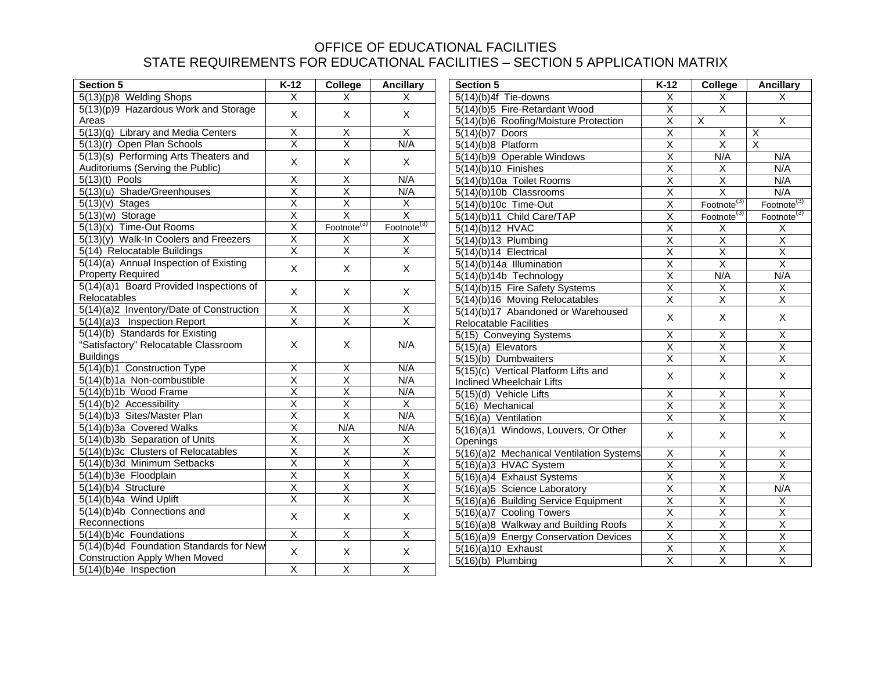| <b>Section 5</b>                         | $K-12$                  | College                 | <b>Ancillary</b>            | <b>Section 5</b>                         | $K-12$                  | College                 | <b>Ancillary</b>        |
|------------------------------------------|-------------------------|-------------------------|-----------------------------|------------------------------------------|-------------------------|-------------------------|-------------------------|
| 5(13)(p)8 Welding Shops                  | $\overline{\mathsf{x}}$ | X.                      | X<br>5(14)(b)4f Tie-downs   |                                          | X                       | X                       | X                       |
| 5(13)(p)9 Hazardous Work and Storage     | X                       | X<br>X                  |                             | 5(14)(b)5 Fire-Retardant Wood            | $\overline{\mathsf{x}}$ | $\overline{\mathsf{X}}$ |                         |
| Areas                                    |                         |                         |                             | 5(14)(b)6 Roofing/Moisture Protection    | $\overline{\mathsf{x}}$ | X                       | $\overline{X}$          |
| 5(13)(q) Library and Media Centers       | Χ                       | $\overline{X}$          | $\overline{X}$              | $5(14)(b)7$ Doors                        | $\overline{\mathsf{x}}$ | X                       | $\overline{X}$          |
| 5(13)(r) Open Plan Schools               | $\overline{\mathsf{x}}$ | $\overline{\mathsf{x}}$ | N/A                         | $5(14)(b)8$ Platform                     | $\overline{\mathsf{x}}$ | $\overline{\mathsf{x}}$ | $\overline{\mathsf{x}}$ |
| 5(13)(s) Performing Arts Theaters and    | X                       | X                       | X                           | 5(14)(b)9 Operable Windows               | $\overline{\mathsf{x}}$ | N/A                     | N/A                     |
| Auditoriums (Serving the Public)         |                         |                         |                             | $5(14)(b)10$ Finishes                    | $\overline{\mathsf{X}}$ | $\overline{\mathsf{x}}$ | N/A                     |
| $5(13)(t)$ Pools                         | $\overline{\mathsf{X}}$ | $\overline{X}$          | N/A                         | 5(14)(b)10a Toilet Rooms                 | $\overline{\mathsf{x}}$ | $\overline{X}$          | N/A                     |
| 5(13)(u) Shade/Greenhouses               | $\overline{\mathsf{x}}$ | $\overline{\mathsf{x}}$ | N/A                         | 5(14)(b)10b Classrooms                   | $\overline{\mathsf{x}}$ | $\overline{\mathsf{x}}$ | N/A                     |
| $\overline{5(13)}(v)$ Stages             | $\overline{\mathsf{X}}$ | $\overline{\mathsf{x}}$ | $\overline{X}$              | 5(14)(b)10c Time-Out                     | $\overline{\mathsf{x}}$ | Footnote <sup>(3)</sup> | Footnote <sup>(3)</sup> |
| $5(13)(w)$ Storage                       | $\overline{X}$          | $\overline{\mathsf{x}}$ | $\overline{\mathsf{x}}$     | 5(14)(b)11 Child Care/TAP                | $\overline{\mathsf{x}}$ | Footnote $^{(3)}$       | Footnote <sup>(3)</sup> |
| $5(13)(x)$ Time-Out Rooms                | $\overline{\mathsf{x}}$ | Footnote <sup>(3)</sup> | $\overline{Footnote}^{(3)}$ | 5(14)(b)12 HVAC                          | $\overline{X}$          | Χ                       | $\overline{\mathsf{x}}$ |
| 5(13)(y) Walk-In Coolers and Freezers    | $\overline{\mathsf{x}}$ | Χ                       | X                           | 5(14)(b)13 Plumbing                      | $\overline{X}$          | $\overline{X}$          | $\overline{\mathsf{x}}$ |
| 5(14) Relocatable Buildings              | $\overline{\mathsf{x}}$ | $\overline{\mathsf{x}}$ | $\overline{\mathsf{X}}$     | 5(14)(b)14 Electrical                    | $\overline{\mathsf{x}}$ | $\overline{\mathsf{x}}$ | $\overline{\mathsf{x}}$ |
| 5(14)(a) Annual Inspection of Existing   | X                       | X                       | X                           | 5(14)(b)14a Illumination                 | $\overline{\mathsf{x}}$ | $\overline{\mathsf{x}}$ | $\overline{\mathsf{x}}$ |
| <b>Property Required</b>                 |                         |                         |                             | 5(14)(b)14b Technology                   | $\overline{X}$          | N/A                     | N/A                     |
| 5(14)(a)1 Board Provided Inspections of  | X                       | X                       | X                           | 5(14)(b)15 Fire Safety Systems           | $\overline{X}$          | $\mathsf X$             | $\overline{\mathsf{x}}$ |
| Relocatables                             |                         |                         |                             | 5(14)(b)16 Moving Relocatables           | $\overline{\mathsf{X}}$ | $\overline{X}$          | $\overline{\mathsf{x}}$ |
| 5(14)(a)2 Inventory/Date of Construction | $\overline{X}$          | $\overline{X}$          | $\overline{X}$              | 5(14)(b)17 Abandoned or Warehoused       |                         |                         |                         |
| 5(14)(a)3 Inspection Report              | $\overline{\mathsf{x}}$ | $\overline{\mathsf{x}}$ | $\overline{\mathsf{x}}$     | <b>Relocatable Facilities</b>            | X                       | X                       | X                       |
| 5(14)(b) Standards for Existing          |                         |                         |                             | 5(15) Conveying Systems                  | $\overline{X}$          | $\overline{X}$          | $\overline{X}$          |
| "Satisfactory" Relocatable Classroom     | X                       | X                       | N/A                         | $5(15)(a)$ Elevators                     | $\overline{\mathsf{x}}$ | $\overline{\mathsf{x}}$ | $\overline{\mathsf{x}}$ |
| <b>Buildings</b>                         |                         |                         |                             | 5(15)(b) Dumbwaiters                     | $\overline{\mathsf{X}}$ | $\overline{\mathsf{x}}$ | $\overline{\mathsf{x}}$ |
| 5(14)(b)1 Construction Type              | $\overline{\mathsf{x}}$ | $\overline{X}$          | N/A                         | 5(15)(c) Vertical Platform Lifts and     |                         |                         |                         |
| 5(14)(b)1a Non-combustible               | $\overline{\mathsf{x}}$ | $\overline{\mathsf{X}}$ | N/A                         | Inclined Wheelchair Lifts                | X                       | X                       | X                       |
| 5(14)(b)1b Wood Frame                    | $\overline{X}$          | $\overline{X}$          | N/A                         | 5(15)(d) Vehicle Lifts                   | X                       | Χ                       | $\overline{X}$          |
| 5(14)(b)2 Accessibility                  | $\overline{\mathsf{x}}$ | $\overline{\mathsf{x}}$ | $\overline{X}$              | 5(16) Mechanical                         | Χ                       | $\mathsf X$             | $\overline{X}$          |
| 5(14)(b)3 Sites/Master Plan              | $\overline{\mathsf{x}}$ | $\overline{\mathsf{x}}$ | N/A                         | 5(16)(a) Ventilation                     | $\overline{\mathsf{x}}$ | $\overline{\mathsf{x}}$ | $\overline{\mathsf{x}}$ |
| 5(14)(b)3a Covered Walks                 | $\overline{\mathsf{x}}$ | N/A                     | N/A                         | 5(16)(a)1 Windows, Louvers, Or Other     |                         |                         |                         |
| 5(14)(b)3b Separation of Units           | $\overline{\mathsf{x}}$ | Χ                       | $\mathsf X$                 | Openings                                 | $\mathsf{X}$            | X                       | $\mathsf{X}$            |
| 5(14)(b)3c Clusters of Relocatables      | $\overline{X}$          | $\overline{\mathsf{x}}$ | $\overline{\mathsf{x}}$     | 5(16)(a)2 Mechanical Ventilation Systems | $\overline{\mathsf{x}}$ | $\overline{X}$          | $\overline{\mathsf{x}}$ |
| 5(14)(b)3d Minimum Setbacks              | $\overline{\mathsf{x}}$ | $\overline{\mathsf{x}}$ | $\overline{\mathsf{X}}$     | 5(16)(a)3 HVAC System                    | $\overline{\mathsf{X}}$ | $\overline{\mathsf{x}}$ | $\overline{\mathsf{x}}$ |
| 5(14)(b)3e Floodplain                    | $\overline{\mathsf{x}}$ | $\overline{\mathsf{x}}$ | $\overline{\mathsf{x}}$     | 5(16)(a)4 Exhaust Systems                | $\overline{\mathsf{x}}$ | $\overline{\mathsf{x}}$ | $\overline{\mathsf{x}}$ |
| 5(14)(b)4 Structure                      | $\overline{X}$          | $\overline{X}$          | $\overline{X}$              | 5(16)(a)5 Science Laboratory             | $\overline{\mathsf{x}}$ | $\overline{X}$          | N/A                     |
| 5(14)(b)4a Wind Uplift                   | $\overline{\mathsf{x}}$ | $\overline{\mathsf{x}}$ | $\overline{\mathsf{x}}$     | 5(16)(a)6 Building Service Equipment     | $\overline{\mathsf{x}}$ | $\overline{\mathsf{x}}$ | $\overline{X}$          |
| 5(14)(b)4b Connections and               | $\mathsf X$             | X                       | X                           | 5(16)(a)7 Cooling Towers                 | $\overline{X}$          | $\overline{X}$          | $\overline{\mathsf{X}}$ |
| Reconnections                            |                         |                         |                             | 5(16)(a)8 Walkway and Building Roofs     | $\overline{\mathsf{X}}$ | $\overline{\mathsf{x}}$ | $\overline{\mathsf{x}}$ |
| 5(14)(b)4c Foundations                   | $\overline{\mathsf{X}}$ | $\overline{X}$          | $\overline{\mathsf{X}}$     | 5(16)(a)9 Energy Conservation Devices    | $\overline{X}$          | $\overline{X}$          | $\overline{\mathsf{x}}$ |
| 5(14)(b)4d Foundation Standards for New  | $\mathsf X$             | X                       | $\pmb{\times}$              | $5(16)(a)10$ Exhaust                     | $\overline{\mathsf{x}}$ | $\overline{\mathsf{x}}$ | $\overline{\mathsf{x}}$ |
| <b>Construction Apply When Moved</b>     |                         |                         |                             | $5(16)(b)$ Plumbing                      | $\overline{\mathsf{x}}$ | $\overline{\mathsf{x}}$ | $\overline{\mathsf{x}}$ |
| $5(14)(b)4e$ Inspection                  | $\overline{\mathsf{x}}$ | $\overline{X}$          | $\overline{\mathsf{x}}$     |                                          |                         |                         |                         |